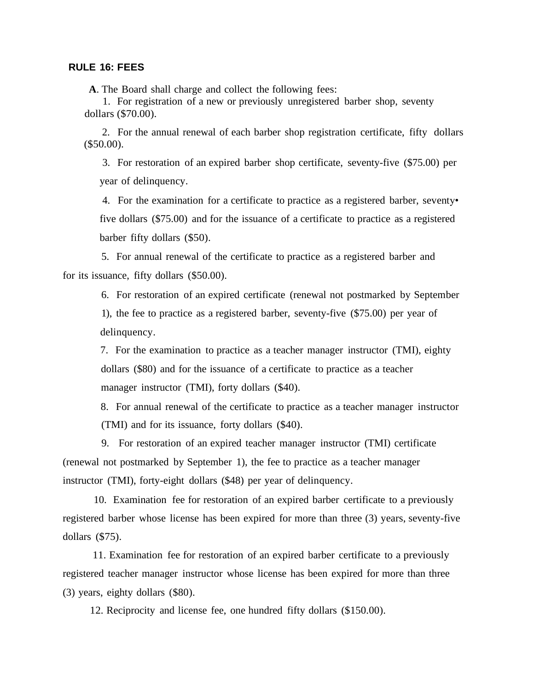## **RULE 16: FEES**

 **A**. The Board shall charge and collect the following fees:

 1. For registration of a new or previously unregistered barber shop, seventy dollars (\$70.00).

 2. For the annual renewal of each barber shop registration certificate, fifty dollars (\$50.00).

3. For restoration of an expired barber shop certificate, seventy-five (\$75.00) per year of delinquency.

4. For the examination for a certificate to practice as a registered barber, seventy• five dollars (\$75.00) and for the issuance of a certificate to practice as a registered barber fifty dollars (\$50).

 5. For annual renewal of the certificate to practice as a registered barber and for its issuance, fifty dollars (\$50.00).

 6. For restoration of an expired certificate (renewal not postmarked by September 1), the fee to practice as a registered barber, seventy-five (\$75.00) per year of delinquency.

 7. For the examination to practice as a teacher manager instructor (TMI), eighty dollars (\$80) and for the issuance of a certificate to practice as a teacher manager instructor (TMI), forty dollars (\$40).

 8. For annual renewal of the certificate to practice as a teacher manager instructor (TMI) and for its issuance, forty dollars (\$40).

 9. For restoration of an expired teacher manager instructor (TMI) certificate (renewal not postmarked by September 1), the fee to practice as a teacher manager instructor (TMI), forty-eight dollars (\$48) per year of delinquency.

 10. Examination fee for restoration of an expired barber certificate to a previously registered barber whose license has been expired for more than three (3) years, seventy-five dollars (\$75).

 11. Examination fee for restoration of an expired barber certificate to a previously registered teacher manager instructor whose license has been expired for more than three (3) years, eighty dollars (\$80).

12. Reciprocity and license fee, one hundred fifty dollars (\$150.00).